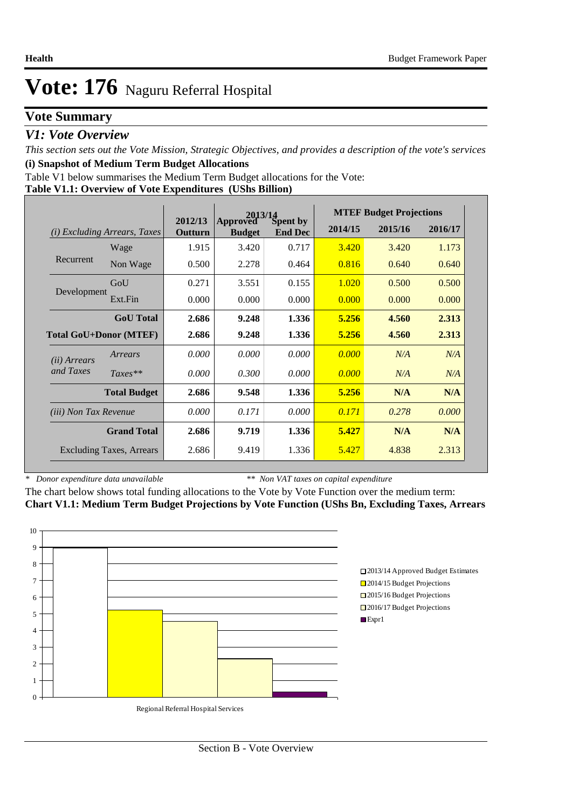### **Vote Summary**

### *V1: Vote Overview*

*This section sets out the Vote Mission, Strategic Objectives, and provides a description of the vote's services* **(i) Snapshot of Medium Term Budget Allocations** 

Table V1 below summarises the Medium Term Budget allocations for the Vote:

| Table V1.1: Overview of Vote Expenditures (UShs Billion) |  |  |
|----------------------------------------------------------|--|--|
|                                                          |  |  |

|                                 |                                 |                    | Approved Spent by |                | <b>MTEF Budget Projections</b> |         |         |  |
|---------------------------------|---------------------------------|--------------------|-------------------|----------------|--------------------------------|---------|---------|--|
| (i)                             | <i>Excluding Arrears, Taxes</i> | 2012/13<br>Outturn | <b>Budget</b>     | <b>End Dec</b> | 2014/15                        | 2015/16 | 2016/17 |  |
|                                 | Wage                            | 1.915              | 3.420             | 0.717          | 3.420                          | 3.420   | 1.173   |  |
| Recurrent                       | Non Wage                        | 0.500              | 2.278             | 0.464          | 0.816                          | 0.640   | 0.640   |  |
|                                 | GoU                             | 0.271              | 3.551             | 0.155          | 1.020                          | 0.500   | 0.500   |  |
| Development                     | Ext.Fin                         | 0.000              | 0.000             | 0.000          | 0.000                          | 0.000   | 0.000   |  |
|                                 | <b>GoU</b> Total                | 2.686              | 9.248             | 1.336          | 5.256                          | 4.560   | 2.313   |  |
| <b>Total GoU+Donor (MTEF)</b>   |                                 | 2.686              | 9.248             | 1.336          | 5.256                          | 4.560   | 2.313   |  |
| ( <i>ii</i> ) Arrears           | Arrears                         | 0.000              | 0.000             | 0.000          | 0.000                          | N/A     | N/A     |  |
| and Taxes                       | $Taxes**$                       | 0.000              | 0.300             | 0.000          | 0.000                          | N/A     | N/A     |  |
|                                 | <b>Total Budget</b>             | 2.686              | 9.548             | 1.336          | 5.256                          | N/A     | N/A     |  |
| <i>(iii)</i> Non Tax Revenue    |                                 | 0.000              | 0.171             | 0.000          | 0.171                          | 0.278   | 0.000   |  |
|                                 | <b>Grand Total</b>              | 2.686              | 9.719             | 1.336          | 5.427                          | N/A     | N/A     |  |
| <b>Excluding Taxes, Arrears</b> |                                 | 2.686              | 9.419             | 1.336          | 5.427                          | 4.838   | 2.313   |  |

*\* Donor expenditure data unavailable*

*\*\* Non VAT taxes on capital expenditure*

The chart below shows total funding allocations to the Vote by Vote Function over the medium term: **Chart V1.1: Medium Term Budget Projections by Vote Function (UShs Bn, Excluding Taxes, Arrears**

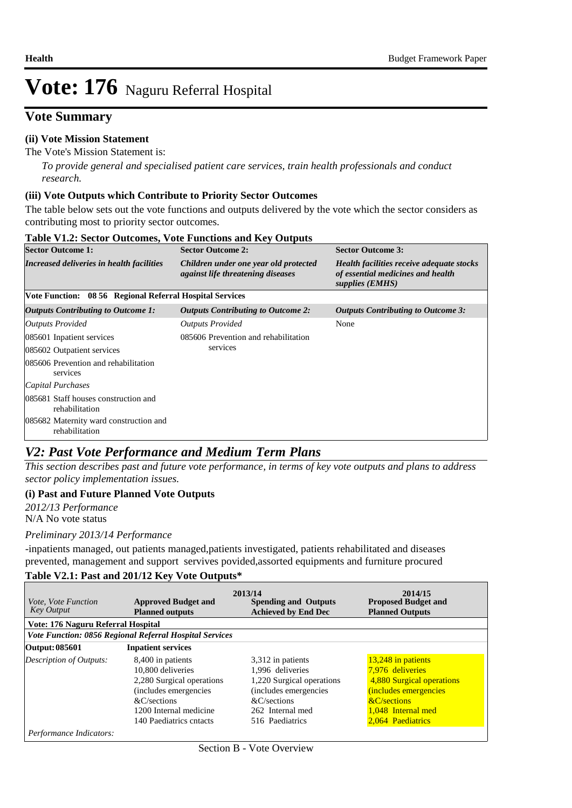### **Vote Summary**

#### **(ii) Vote Mission Statement**

#### The Vote's Mission Statement is:

*To provide general and specialised patient care services, train health professionals and conduct research.*

#### **(iii) Vote Outputs which Contribute to Priority Sector Outcomes**

The table below sets out the vote functions and outputs delivered by the vote which the sector considers as contributing most to priority sector outcomes.

| <b>Table V1.2: Sector Outcomes, Vote Functions and Key Outputs</b> |                                                                                   |                                                                                                   |  |  |  |  |  |  |  |
|--------------------------------------------------------------------|-----------------------------------------------------------------------------------|---------------------------------------------------------------------------------------------------|--|--|--|--|--|--|--|
| <b>Sector Outcome 1:</b>                                           | <b>Sector Outcome 2:</b>                                                          | <b>Sector Outcome 3:</b>                                                                          |  |  |  |  |  |  |  |
| <b>Increased deliveries in health facilities</b>                   | Children under one year old protected<br><i>against life threatening diseases</i> | Health facilities receive adequate stocks<br>of essential medicines and health<br>supplies (EMHS) |  |  |  |  |  |  |  |
| Vote Function: 08 56 Regional Referral Hospital Services           |                                                                                   |                                                                                                   |  |  |  |  |  |  |  |
| <b>Outputs Contributing to Outcome 1:</b>                          | <b>Outputs Contributing to Outcome 2:</b>                                         | <b>Outputs Contributing to Outcome 3:</b>                                                         |  |  |  |  |  |  |  |
| Outputs Provided                                                   | <b>Outputs Provided</b>                                                           | None                                                                                              |  |  |  |  |  |  |  |
| 085601 Inpatient services                                          | 085606 Prevention and rehabilitation                                              |                                                                                                   |  |  |  |  |  |  |  |
| 085602 Outpatient services                                         | services                                                                          |                                                                                                   |  |  |  |  |  |  |  |
| 085606 Prevention and rehabilitation<br>services                   |                                                                                   |                                                                                                   |  |  |  |  |  |  |  |
| Capital Purchases                                                  |                                                                                   |                                                                                                   |  |  |  |  |  |  |  |
| 085681 Staff houses construction and<br>rehabilitation             |                                                                                   |                                                                                                   |  |  |  |  |  |  |  |
| 085682 Maternity ward construction and<br>rehabilitation           |                                                                                   |                                                                                                   |  |  |  |  |  |  |  |

### *V2: Past Vote Performance and Medium Term Plans*

*This section describes past and future vote performance, in terms of key vote outputs and plans to address sector policy implementation issues.* 

#### **(i) Past and Future Planned Vote Outputs**

N/A No vote status *2012/13 Performance*

#### *Preliminary 2013/14 Performance*

-inpatients managed, out patients managed,patients investigated, patients rehabilitated and diseases prevented, management and support servives povided,assorted equipments and furniture procured

#### **Table V2.1: Past and 201/12 Key Vote Outputs\***

| <i>Vote, Vote Function</i><br><b>Key Output</b> | <b>Approved Budget and</b><br><b>Planned outputs</b>                                                                                      | 2013/14<br><b>Spending and Outputs</b><br><b>Achieved by End Dec</b>                                                            | 2014/15<br><b>Proposed Budget and</b><br><b>Planned Outputs</b>                                                                          |
|-------------------------------------------------|-------------------------------------------------------------------------------------------------------------------------------------------|---------------------------------------------------------------------------------------------------------------------------------|------------------------------------------------------------------------------------------------------------------------------------------|
| Vote: 176 Naguru Referral Hospital              |                                                                                                                                           |                                                                                                                                 |                                                                                                                                          |
|                                                 | Vote Function: 0856 Regional Referral Hospital Services                                                                                   |                                                                                                                                 |                                                                                                                                          |
| Output: 085601                                  | <b>Inpatient services</b>                                                                                                                 |                                                                                                                                 |                                                                                                                                          |
| Description of Outputs:                         | 8,400 in patients<br>10,800 deliveries<br>2,280 Surgical operations<br>(includes emergencies<br>$\&C$ /sections<br>1200 Internal medicine | 3,312 in patients<br>1.996 deliveries<br>1,220 Surgical operations<br>(includes emergencies)<br>&C/sections<br>262 Internal med | 13,248 in patients<br>7.976 deliveries<br>4,880 Surgical operations<br><i>(includes emergencies</i><br>&C/sections<br>1.048 Internal med |
| Performance Indicators:                         | 140 Paediatrics cntacts                                                                                                                   | 516 Paediatrics                                                                                                                 | 2,064 Paediatrics                                                                                                                        |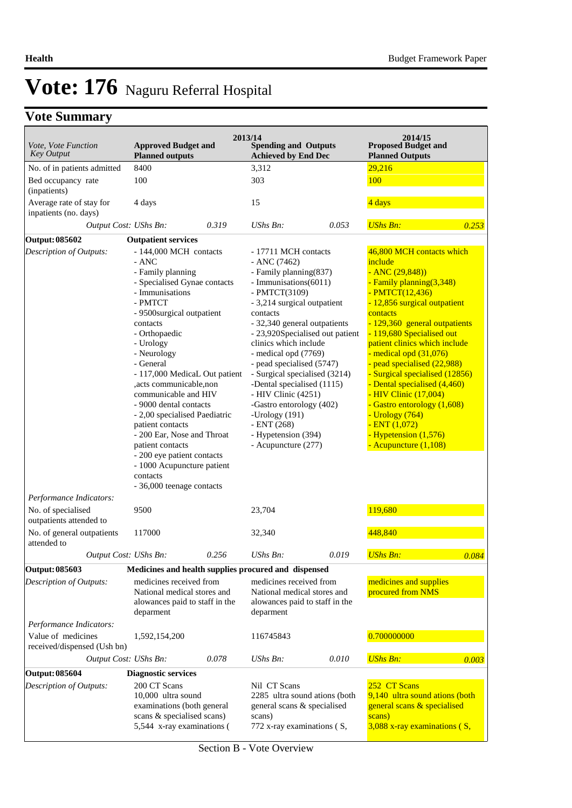# **Vote Summary**

| Vote, Vote Function<br><b>Approved Budget and</b><br><b>Key Output</b><br><b>Achieved by End Dec</b><br><b>Planned outputs</b><br><b>Planned Outputs</b><br>8400<br>3,312<br>29,216<br>No. of in patients admitted<br>100<br>303<br>100<br>Bed occupancy rate<br>(inpatients)<br>4 days<br>Average rate of stay for<br>15<br>4 days<br>inpatients (no. days)<br><b>UShs Bn:</b><br>0.319<br>Output Cost: UShs Bn:<br>UShs Bn:<br>0.053<br>Output: 085602<br><b>Outpatient services</b><br>46,800 MCH contacts which<br>- 144,000 MCH contacts<br>Description of Outputs:<br>- 17711 MCH contacts<br>- ANC<br>include<br>$-$ ANC (7462)<br>- Family planning<br>$-$ ANC $(29, 848)$<br>- Family planning (837)<br>- Specialised Gynae contacts<br>- Immunisations(6011)<br>- Family planning(3,348)<br>- Immunisations<br>- PMTCT(3109)<br>- PMTCT(12,436)<br>- PMTCT<br>- 3,214 surgical outpatient<br>- 12,856 surgical outpatient<br>contacts<br>- 9500surgical outpatient<br>contacts<br>- 32,340 general outpatients<br>- 129,360 general outpatients<br>contacts<br>- 119,680 Specialised out<br>- Orthopaedic<br>- 23,920Specialised out patient<br>clinics which include<br>patient clinics which include<br>- Urology<br>- medical opd (7769)<br>- medical opd (31,076)<br>- Neurology<br>- General<br>- pead specialised (5747)<br>- pead specialised (22,988)<br>- Surgical specialised (3214)<br>- Surgical specialised (12856)<br>- 117,000 MedicaL Out patient<br>-Dental specialised (1115)<br>- Dental specialised (4,460)<br>,acts communicable,non<br>communicable and HIV<br>- HIV Clinic (4251)<br>- HIV Clinic (17,004)<br>-Gastro entorology (402)<br>- Gastro entorology (1,608)<br>- 9000 dental contacts<br>- Urology (764)<br>- 2,00 specialised Paediatric<br>-Urology (191)<br>$- ENT (268)$<br>$-$ ENT $(1,072)$<br>patient contacts<br>- Hypetension (1,576)<br>- 200 Ear, Nose and Throat<br>- Hypetension (394)<br>patient contacts<br>- Acupuncture (277)<br>- Acupuncture (1,108)<br>- 200 eye patient contacts<br>- 1000 Acupuncture patient<br>contacts<br>- 36,000 teenage contacts<br>Performance Indicators:<br>119,680<br>No. of specialised<br>9500<br>23,704<br>outpatients attended to<br>448,840<br>No. of general outpatients<br>117000<br>32,340<br>attended to<br>0.019<br><b>UShs Bn:</b><br>0.084<br>Output Cost: UShs Bn:<br>0.256<br>UShs Bn:<br>Medicines and health supplies procured and dispensed<br>medicines and supplies<br>medicines received from<br>medicines received from<br>procured from NMS<br>National medical stores and<br>National medical stores and<br>alowances paid to staff in the<br>alowances paid to staff in the<br>deparment<br>deparment<br>Performance Indicators:<br>0.700000000<br>Value of medicines<br>116745843<br>1,592,154,200<br>received/dispensed (Ush bn)<br>Output Cost: UShs Bn:<br>0.078<br><b>UShs Bn:</b><br>UShs Bn:<br>0.010<br>Output: 085604<br><b>Diagnostic services</b><br>252 CT Scans<br>200 CT Scans<br><b>Description of Outputs:</b><br>Nil CT Scans<br>9,140 ultra sound ations (both<br>10,000 ultra sound<br>2285 ultra sound ations (both<br>examinations (both general<br>general scans & specialised<br>general scans & specialised<br>scans & specialised scans)<br>scans)<br>scans)<br>5,544 x-ray examinations (<br>772 x-ray examinations (S,<br>$3,088$ x-ray examinations ( $S$ , |                                | 2013/14                     | 2014/15                    |
|------------------------------------------------------------------------------------------------------------------------------------------------------------------------------------------------------------------------------------------------------------------------------------------------------------------------------------------------------------------------------------------------------------------------------------------------------------------------------------------------------------------------------------------------------------------------------------------------------------------------------------------------------------------------------------------------------------------------------------------------------------------------------------------------------------------------------------------------------------------------------------------------------------------------------------------------------------------------------------------------------------------------------------------------------------------------------------------------------------------------------------------------------------------------------------------------------------------------------------------------------------------------------------------------------------------------------------------------------------------------------------------------------------------------------------------------------------------------------------------------------------------------------------------------------------------------------------------------------------------------------------------------------------------------------------------------------------------------------------------------------------------------------------------------------------------------------------------------------------------------------------------------------------------------------------------------------------------------------------------------------------------------------------------------------------------------------------------------------------------------------------------------------------------------------------------------------------------------------------------------------------------------------------------------------------------------------------------------------------------------------------------------------------------------------------------------------------------------------------------------------------------------------------------------------------------------------------------------------------------------------------------------------------------------------------------------------------------------------------------------------------------------------------------------------------------------------------------------------------------------------------------------------------------------------------------------------------------------------------------------------------------------------------------------------------------------------------------------------------------------------------------------------------------------------------------------------------------------------------------------------------------------------------------------------------------------------------------------------------------------------------------------------------|--------------------------------|-----------------------------|----------------------------|
|                                                                                                                                                                                                                                                                                                                                                                                                                                                                                                                                                                                                                                                                                                                                                                                                                                                                                                                                                                                                                                                                                                                                                                                                                                                                                                                                                                                                                                                                                                                                                                                                                                                                                                                                                                                                                                                                                                                                                                                                                                                                                                                                                                                                                                                                                                                                                                                                                                                                                                                                                                                                                                                                                                                                                                                                                                                                                                                                                                                                                                                                                                                                                                                                                                                                                                                                                                                                            |                                | <b>Spending and Outputs</b> | <b>Proposed Budget and</b> |
|                                                                                                                                                                                                                                                                                                                                                                                                                                                                                                                                                                                                                                                                                                                                                                                                                                                                                                                                                                                                                                                                                                                                                                                                                                                                                                                                                                                                                                                                                                                                                                                                                                                                                                                                                                                                                                                                                                                                                                                                                                                                                                                                                                                                                                                                                                                                                                                                                                                                                                                                                                                                                                                                                                                                                                                                                                                                                                                                                                                                                                                                                                                                                                                                                                                                                                                                                                                                            |                                |                             |                            |
| 0.253                                                                                                                                                                                                                                                                                                                                                                                                                                                                                                                                                                                                                                                                                                                                                                                                                                                                                                                                                                                                                                                                                                                                                                                                                                                                                                                                                                                                                                                                                                                                                                                                                                                                                                                                                                                                                                                                                                                                                                                                                                                                                                                                                                                                                                                                                                                                                                                                                                                                                                                                                                                                                                                                                                                                                                                                                                                                                                                                                                                                                                                                                                                                                                                                                                                                                                                                                                                                      |                                |                             |                            |
|                                                                                                                                                                                                                                                                                                                                                                                                                                                                                                                                                                                                                                                                                                                                                                                                                                                                                                                                                                                                                                                                                                                                                                                                                                                                                                                                                                                                                                                                                                                                                                                                                                                                                                                                                                                                                                                                                                                                                                                                                                                                                                                                                                                                                                                                                                                                                                                                                                                                                                                                                                                                                                                                                                                                                                                                                                                                                                                                                                                                                                                                                                                                                                                                                                                                                                                                                                                                            |                                |                             |                            |
|                                                                                                                                                                                                                                                                                                                                                                                                                                                                                                                                                                                                                                                                                                                                                                                                                                                                                                                                                                                                                                                                                                                                                                                                                                                                                                                                                                                                                                                                                                                                                                                                                                                                                                                                                                                                                                                                                                                                                                                                                                                                                                                                                                                                                                                                                                                                                                                                                                                                                                                                                                                                                                                                                                                                                                                                                                                                                                                                                                                                                                                                                                                                                                                                                                                                                                                                                                                                            |                                |                             |                            |
|                                                                                                                                                                                                                                                                                                                                                                                                                                                                                                                                                                                                                                                                                                                                                                                                                                                                                                                                                                                                                                                                                                                                                                                                                                                                                                                                                                                                                                                                                                                                                                                                                                                                                                                                                                                                                                                                                                                                                                                                                                                                                                                                                                                                                                                                                                                                                                                                                                                                                                                                                                                                                                                                                                                                                                                                                                                                                                                                                                                                                                                                                                                                                                                                                                                                                                                                                                                                            |                                |                             |                            |
| 0.003                                                                                                                                                                                                                                                                                                                                                                                                                                                                                                                                                                                                                                                                                                                                                                                                                                                                                                                                                                                                                                                                                                                                                                                                                                                                                                                                                                                                                                                                                                                                                                                                                                                                                                                                                                                                                                                                                                                                                                                                                                                                                                                                                                                                                                                                                                                                                                                                                                                                                                                                                                                                                                                                                                                                                                                                                                                                                                                                                                                                                                                                                                                                                                                                                                                                                                                                                                                                      |                                |                             |                            |
|                                                                                                                                                                                                                                                                                                                                                                                                                                                                                                                                                                                                                                                                                                                                                                                                                                                                                                                                                                                                                                                                                                                                                                                                                                                                                                                                                                                                                                                                                                                                                                                                                                                                                                                                                                                                                                                                                                                                                                                                                                                                                                                                                                                                                                                                                                                                                                                                                                                                                                                                                                                                                                                                                                                                                                                                                                                                                                                                                                                                                                                                                                                                                                                                                                                                                                                                                                                                            |                                |                             |                            |
|                                                                                                                                                                                                                                                                                                                                                                                                                                                                                                                                                                                                                                                                                                                                                                                                                                                                                                                                                                                                                                                                                                                                                                                                                                                                                                                                                                                                                                                                                                                                                                                                                                                                                                                                                                                                                                                                                                                                                                                                                                                                                                                                                                                                                                                                                                                                                                                                                                                                                                                                                                                                                                                                                                                                                                                                                                                                                                                                                                                                                                                                                                                                                                                                                                                                                                                                                                                                            |                                |                             |                            |
|                                                                                                                                                                                                                                                                                                                                                                                                                                                                                                                                                                                                                                                                                                                                                                                                                                                                                                                                                                                                                                                                                                                                                                                                                                                                                                                                                                                                                                                                                                                                                                                                                                                                                                                                                                                                                                                                                                                                                                                                                                                                                                                                                                                                                                                                                                                                                                                                                                                                                                                                                                                                                                                                                                                                                                                                                                                                                                                                                                                                                                                                                                                                                                                                                                                                                                                                                                                                            |                                |                             |                            |
|                                                                                                                                                                                                                                                                                                                                                                                                                                                                                                                                                                                                                                                                                                                                                                                                                                                                                                                                                                                                                                                                                                                                                                                                                                                                                                                                                                                                                                                                                                                                                                                                                                                                                                                                                                                                                                                                                                                                                                                                                                                                                                                                                                                                                                                                                                                                                                                                                                                                                                                                                                                                                                                                                                                                                                                                                                                                                                                                                                                                                                                                                                                                                                                                                                                                                                                                                                                                            |                                |                             |                            |
|                                                                                                                                                                                                                                                                                                                                                                                                                                                                                                                                                                                                                                                                                                                                                                                                                                                                                                                                                                                                                                                                                                                                                                                                                                                                                                                                                                                                                                                                                                                                                                                                                                                                                                                                                                                                                                                                                                                                                                                                                                                                                                                                                                                                                                                                                                                                                                                                                                                                                                                                                                                                                                                                                                                                                                                                                                                                                                                                                                                                                                                                                                                                                                                                                                                                                                                                                                                                            |                                |                             |                            |
|                                                                                                                                                                                                                                                                                                                                                                                                                                                                                                                                                                                                                                                                                                                                                                                                                                                                                                                                                                                                                                                                                                                                                                                                                                                                                                                                                                                                                                                                                                                                                                                                                                                                                                                                                                                                                                                                                                                                                                                                                                                                                                                                                                                                                                                                                                                                                                                                                                                                                                                                                                                                                                                                                                                                                                                                                                                                                                                                                                                                                                                                                                                                                                                                                                                                                                                                                                                                            |                                |                             |                            |
|                                                                                                                                                                                                                                                                                                                                                                                                                                                                                                                                                                                                                                                                                                                                                                                                                                                                                                                                                                                                                                                                                                                                                                                                                                                                                                                                                                                                                                                                                                                                                                                                                                                                                                                                                                                                                                                                                                                                                                                                                                                                                                                                                                                                                                                                                                                                                                                                                                                                                                                                                                                                                                                                                                                                                                                                                                                                                                                                                                                                                                                                                                                                                                                                                                                                                                                                                                                                            |                                |                             |                            |
|                                                                                                                                                                                                                                                                                                                                                                                                                                                                                                                                                                                                                                                                                                                                                                                                                                                                                                                                                                                                                                                                                                                                                                                                                                                                                                                                                                                                                                                                                                                                                                                                                                                                                                                                                                                                                                                                                                                                                                                                                                                                                                                                                                                                                                                                                                                                                                                                                                                                                                                                                                                                                                                                                                                                                                                                                                                                                                                                                                                                                                                                                                                                                                                                                                                                                                                                                                                                            |                                |                             |                            |
|                                                                                                                                                                                                                                                                                                                                                                                                                                                                                                                                                                                                                                                                                                                                                                                                                                                                                                                                                                                                                                                                                                                                                                                                                                                                                                                                                                                                                                                                                                                                                                                                                                                                                                                                                                                                                                                                                                                                                                                                                                                                                                                                                                                                                                                                                                                                                                                                                                                                                                                                                                                                                                                                                                                                                                                                                                                                                                                                                                                                                                                                                                                                                                                                                                                                                                                                                                                                            |                                |                             |                            |
|                                                                                                                                                                                                                                                                                                                                                                                                                                                                                                                                                                                                                                                                                                                                                                                                                                                                                                                                                                                                                                                                                                                                                                                                                                                                                                                                                                                                                                                                                                                                                                                                                                                                                                                                                                                                                                                                                                                                                                                                                                                                                                                                                                                                                                                                                                                                                                                                                                                                                                                                                                                                                                                                                                                                                                                                                                                                                                                                                                                                                                                                                                                                                                                                                                                                                                                                                                                                            |                                |                             |                            |
|                                                                                                                                                                                                                                                                                                                                                                                                                                                                                                                                                                                                                                                                                                                                                                                                                                                                                                                                                                                                                                                                                                                                                                                                                                                                                                                                                                                                                                                                                                                                                                                                                                                                                                                                                                                                                                                                                                                                                                                                                                                                                                                                                                                                                                                                                                                                                                                                                                                                                                                                                                                                                                                                                                                                                                                                                                                                                                                                                                                                                                                                                                                                                                                                                                                                                                                                                                                                            |                                |                             |                            |
|                                                                                                                                                                                                                                                                                                                                                                                                                                                                                                                                                                                                                                                                                                                                                                                                                                                                                                                                                                                                                                                                                                                                                                                                                                                                                                                                                                                                                                                                                                                                                                                                                                                                                                                                                                                                                                                                                                                                                                                                                                                                                                                                                                                                                                                                                                                                                                                                                                                                                                                                                                                                                                                                                                                                                                                                                                                                                                                                                                                                                                                                                                                                                                                                                                                                                                                                                                                                            |                                |                             |                            |
|                                                                                                                                                                                                                                                                                                                                                                                                                                                                                                                                                                                                                                                                                                                                                                                                                                                                                                                                                                                                                                                                                                                                                                                                                                                                                                                                                                                                                                                                                                                                                                                                                                                                                                                                                                                                                                                                                                                                                                                                                                                                                                                                                                                                                                                                                                                                                                                                                                                                                                                                                                                                                                                                                                                                                                                                                                                                                                                                                                                                                                                                                                                                                                                                                                                                                                                                                                                                            |                                |                             |                            |
|                                                                                                                                                                                                                                                                                                                                                                                                                                                                                                                                                                                                                                                                                                                                                                                                                                                                                                                                                                                                                                                                                                                                                                                                                                                                                                                                                                                                                                                                                                                                                                                                                                                                                                                                                                                                                                                                                                                                                                                                                                                                                                                                                                                                                                                                                                                                                                                                                                                                                                                                                                                                                                                                                                                                                                                                                                                                                                                                                                                                                                                                                                                                                                                                                                                                                                                                                                                                            |                                |                             |                            |
|                                                                                                                                                                                                                                                                                                                                                                                                                                                                                                                                                                                                                                                                                                                                                                                                                                                                                                                                                                                                                                                                                                                                                                                                                                                                                                                                                                                                                                                                                                                                                                                                                                                                                                                                                                                                                                                                                                                                                                                                                                                                                                                                                                                                                                                                                                                                                                                                                                                                                                                                                                                                                                                                                                                                                                                                                                                                                                                                                                                                                                                                                                                                                                                                                                                                                                                                                                                                            |                                |                             |                            |
|                                                                                                                                                                                                                                                                                                                                                                                                                                                                                                                                                                                                                                                                                                                                                                                                                                                                                                                                                                                                                                                                                                                                                                                                                                                                                                                                                                                                                                                                                                                                                                                                                                                                                                                                                                                                                                                                                                                                                                                                                                                                                                                                                                                                                                                                                                                                                                                                                                                                                                                                                                                                                                                                                                                                                                                                                                                                                                                                                                                                                                                                                                                                                                                                                                                                                                                                                                                                            |                                |                             |                            |
|                                                                                                                                                                                                                                                                                                                                                                                                                                                                                                                                                                                                                                                                                                                                                                                                                                                                                                                                                                                                                                                                                                                                                                                                                                                                                                                                                                                                                                                                                                                                                                                                                                                                                                                                                                                                                                                                                                                                                                                                                                                                                                                                                                                                                                                                                                                                                                                                                                                                                                                                                                                                                                                                                                                                                                                                                                                                                                                                                                                                                                                                                                                                                                                                                                                                                                                                                                                                            |                                |                             |                            |
|                                                                                                                                                                                                                                                                                                                                                                                                                                                                                                                                                                                                                                                                                                                                                                                                                                                                                                                                                                                                                                                                                                                                                                                                                                                                                                                                                                                                                                                                                                                                                                                                                                                                                                                                                                                                                                                                                                                                                                                                                                                                                                                                                                                                                                                                                                                                                                                                                                                                                                                                                                                                                                                                                                                                                                                                                                                                                                                                                                                                                                                                                                                                                                                                                                                                                                                                                                                                            |                                |                             |                            |
|                                                                                                                                                                                                                                                                                                                                                                                                                                                                                                                                                                                                                                                                                                                                                                                                                                                                                                                                                                                                                                                                                                                                                                                                                                                                                                                                                                                                                                                                                                                                                                                                                                                                                                                                                                                                                                                                                                                                                                                                                                                                                                                                                                                                                                                                                                                                                                                                                                                                                                                                                                                                                                                                                                                                                                                                                                                                                                                                                                                                                                                                                                                                                                                                                                                                                                                                                                                                            |                                |                             |                            |
|                                                                                                                                                                                                                                                                                                                                                                                                                                                                                                                                                                                                                                                                                                                                                                                                                                                                                                                                                                                                                                                                                                                                                                                                                                                                                                                                                                                                                                                                                                                                                                                                                                                                                                                                                                                                                                                                                                                                                                                                                                                                                                                                                                                                                                                                                                                                                                                                                                                                                                                                                                                                                                                                                                                                                                                                                                                                                                                                                                                                                                                                                                                                                                                                                                                                                                                                                                                                            |                                |                             |                            |
|                                                                                                                                                                                                                                                                                                                                                                                                                                                                                                                                                                                                                                                                                                                                                                                                                                                                                                                                                                                                                                                                                                                                                                                                                                                                                                                                                                                                                                                                                                                                                                                                                                                                                                                                                                                                                                                                                                                                                                                                                                                                                                                                                                                                                                                                                                                                                                                                                                                                                                                                                                                                                                                                                                                                                                                                                                                                                                                                                                                                                                                                                                                                                                                                                                                                                                                                                                                                            |                                |                             |                            |
|                                                                                                                                                                                                                                                                                                                                                                                                                                                                                                                                                                                                                                                                                                                                                                                                                                                                                                                                                                                                                                                                                                                                                                                                                                                                                                                                                                                                                                                                                                                                                                                                                                                                                                                                                                                                                                                                                                                                                                                                                                                                                                                                                                                                                                                                                                                                                                                                                                                                                                                                                                                                                                                                                                                                                                                                                                                                                                                                                                                                                                                                                                                                                                                                                                                                                                                                                                                                            |                                |                             |                            |
|                                                                                                                                                                                                                                                                                                                                                                                                                                                                                                                                                                                                                                                                                                                                                                                                                                                                                                                                                                                                                                                                                                                                                                                                                                                                                                                                                                                                                                                                                                                                                                                                                                                                                                                                                                                                                                                                                                                                                                                                                                                                                                                                                                                                                                                                                                                                                                                                                                                                                                                                                                                                                                                                                                                                                                                                                                                                                                                                                                                                                                                                                                                                                                                                                                                                                                                                                                                                            |                                |                             |                            |
|                                                                                                                                                                                                                                                                                                                                                                                                                                                                                                                                                                                                                                                                                                                                                                                                                                                                                                                                                                                                                                                                                                                                                                                                                                                                                                                                                                                                                                                                                                                                                                                                                                                                                                                                                                                                                                                                                                                                                                                                                                                                                                                                                                                                                                                                                                                                                                                                                                                                                                                                                                                                                                                                                                                                                                                                                                                                                                                                                                                                                                                                                                                                                                                                                                                                                                                                                                                                            |                                |                             |                            |
|                                                                                                                                                                                                                                                                                                                                                                                                                                                                                                                                                                                                                                                                                                                                                                                                                                                                                                                                                                                                                                                                                                                                                                                                                                                                                                                                                                                                                                                                                                                                                                                                                                                                                                                                                                                                                                                                                                                                                                                                                                                                                                                                                                                                                                                                                                                                                                                                                                                                                                                                                                                                                                                                                                                                                                                                                                                                                                                                                                                                                                                                                                                                                                                                                                                                                                                                                                                                            |                                |                             |                            |
|                                                                                                                                                                                                                                                                                                                                                                                                                                                                                                                                                                                                                                                                                                                                                                                                                                                                                                                                                                                                                                                                                                                                                                                                                                                                                                                                                                                                                                                                                                                                                                                                                                                                                                                                                                                                                                                                                                                                                                                                                                                                                                                                                                                                                                                                                                                                                                                                                                                                                                                                                                                                                                                                                                                                                                                                                                                                                                                                                                                                                                                                                                                                                                                                                                                                                                                                                                                                            |                                |                             |                            |
|                                                                                                                                                                                                                                                                                                                                                                                                                                                                                                                                                                                                                                                                                                                                                                                                                                                                                                                                                                                                                                                                                                                                                                                                                                                                                                                                                                                                                                                                                                                                                                                                                                                                                                                                                                                                                                                                                                                                                                                                                                                                                                                                                                                                                                                                                                                                                                                                                                                                                                                                                                                                                                                                                                                                                                                                                                                                                                                                                                                                                                                                                                                                                                                                                                                                                                                                                                                                            | Output: 085603                 |                             |                            |
|                                                                                                                                                                                                                                                                                                                                                                                                                                                                                                                                                                                                                                                                                                                                                                                                                                                                                                                                                                                                                                                                                                                                                                                                                                                                                                                                                                                                                                                                                                                                                                                                                                                                                                                                                                                                                                                                                                                                                                                                                                                                                                                                                                                                                                                                                                                                                                                                                                                                                                                                                                                                                                                                                                                                                                                                                                                                                                                                                                                                                                                                                                                                                                                                                                                                                                                                                                                                            | <b>Description of Outputs:</b> |                             |                            |
|                                                                                                                                                                                                                                                                                                                                                                                                                                                                                                                                                                                                                                                                                                                                                                                                                                                                                                                                                                                                                                                                                                                                                                                                                                                                                                                                                                                                                                                                                                                                                                                                                                                                                                                                                                                                                                                                                                                                                                                                                                                                                                                                                                                                                                                                                                                                                                                                                                                                                                                                                                                                                                                                                                                                                                                                                                                                                                                                                                                                                                                                                                                                                                                                                                                                                                                                                                                                            |                                |                             |                            |
|                                                                                                                                                                                                                                                                                                                                                                                                                                                                                                                                                                                                                                                                                                                                                                                                                                                                                                                                                                                                                                                                                                                                                                                                                                                                                                                                                                                                                                                                                                                                                                                                                                                                                                                                                                                                                                                                                                                                                                                                                                                                                                                                                                                                                                                                                                                                                                                                                                                                                                                                                                                                                                                                                                                                                                                                                                                                                                                                                                                                                                                                                                                                                                                                                                                                                                                                                                                                            |                                |                             |                            |
|                                                                                                                                                                                                                                                                                                                                                                                                                                                                                                                                                                                                                                                                                                                                                                                                                                                                                                                                                                                                                                                                                                                                                                                                                                                                                                                                                                                                                                                                                                                                                                                                                                                                                                                                                                                                                                                                                                                                                                                                                                                                                                                                                                                                                                                                                                                                                                                                                                                                                                                                                                                                                                                                                                                                                                                                                                                                                                                                                                                                                                                                                                                                                                                                                                                                                                                                                                                                            |                                |                             |                            |
|                                                                                                                                                                                                                                                                                                                                                                                                                                                                                                                                                                                                                                                                                                                                                                                                                                                                                                                                                                                                                                                                                                                                                                                                                                                                                                                                                                                                                                                                                                                                                                                                                                                                                                                                                                                                                                                                                                                                                                                                                                                                                                                                                                                                                                                                                                                                                                                                                                                                                                                                                                                                                                                                                                                                                                                                                                                                                                                                                                                                                                                                                                                                                                                                                                                                                                                                                                                                            |                                |                             |                            |
|                                                                                                                                                                                                                                                                                                                                                                                                                                                                                                                                                                                                                                                                                                                                                                                                                                                                                                                                                                                                                                                                                                                                                                                                                                                                                                                                                                                                                                                                                                                                                                                                                                                                                                                                                                                                                                                                                                                                                                                                                                                                                                                                                                                                                                                                                                                                                                                                                                                                                                                                                                                                                                                                                                                                                                                                                                                                                                                                                                                                                                                                                                                                                                                                                                                                                                                                                                                                            |                                |                             |                            |
|                                                                                                                                                                                                                                                                                                                                                                                                                                                                                                                                                                                                                                                                                                                                                                                                                                                                                                                                                                                                                                                                                                                                                                                                                                                                                                                                                                                                                                                                                                                                                                                                                                                                                                                                                                                                                                                                                                                                                                                                                                                                                                                                                                                                                                                                                                                                                                                                                                                                                                                                                                                                                                                                                                                                                                                                                                                                                                                                                                                                                                                                                                                                                                                                                                                                                                                                                                                                            |                                |                             |                            |
|                                                                                                                                                                                                                                                                                                                                                                                                                                                                                                                                                                                                                                                                                                                                                                                                                                                                                                                                                                                                                                                                                                                                                                                                                                                                                                                                                                                                                                                                                                                                                                                                                                                                                                                                                                                                                                                                                                                                                                                                                                                                                                                                                                                                                                                                                                                                                                                                                                                                                                                                                                                                                                                                                                                                                                                                                                                                                                                                                                                                                                                                                                                                                                                                                                                                                                                                                                                                            |                                |                             |                            |
|                                                                                                                                                                                                                                                                                                                                                                                                                                                                                                                                                                                                                                                                                                                                                                                                                                                                                                                                                                                                                                                                                                                                                                                                                                                                                                                                                                                                                                                                                                                                                                                                                                                                                                                                                                                                                                                                                                                                                                                                                                                                                                                                                                                                                                                                                                                                                                                                                                                                                                                                                                                                                                                                                                                                                                                                                                                                                                                                                                                                                                                                                                                                                                                                                                                                                                                                                                                                            |                                |                             |                            |
|                                                                                                                                                                                                                                                                                                                                                                                                                                                                                                                                                                                                                                                                                                                                                                                                                                                                                                                                                                                                                                                                                                                                                                                                                                                                                                                                                                                                                                                                                                                                                                                                                                                                                                                                                                                                                                                                                                                                                                                                                                                                                                                                                                                                                                                                                                                                                                                                                                                                                                                                                                                                                                                                                                                                                                                                                                                                                                                                                                                                                                                                                                                                                                                                                                                                                                                                                                                                            |                                |                             |                            |
|                                                                                                                                                                                                                                                                                                                                                                                                                                                                                                                                                                                                                                                                                                                                                                                                                                                                                                                                                                                                                                                                                                                                                                                                                                                                                                                                                                                                                                                                                                                                                                                                                                                                                                                                                                                                                                                                                                                                                                                                                                                                                                                                                                                                                                                                                                                                                                                                                                                                                                                                                                                                                                                                                                                                                                                                                                                                                                                                                                                                                                                                                                                                                                                                                                                                                                                                                                                                            |                                |                             |                            |
|                                                                                                                                                                                                                                                                                                                                                                                                                                                                                                                                                                                                                                                                                                                                                                                                                                                                                                                                                                                                                                                                                                                                                                                                                                                                                                                                                                                                                                                                                                                                                                                                                                                                                                                                                                                                                                                                                                                                                                                                                                                                                                                                                                                                                                                                                                                                                                                                                                                                                                                                                                                                                                                                                                                                                                                                                                                                                                                                                                                                                                                                                                                                                                                                                                                                                                                                                                                                            |                                |                             |                            |
|                                                                                                                                                                                                                                                                                                                                                                                                                                                                                                                                                                                                                                                                                                                                                                                                                                                                                                                                                                                                                                                                                                                                                                                                                                                                                                                                                                                                                                                                                                                                                                                                                                                                                                                                                                                                                                                                                                                                                                                                                                                                                                                                                                                                                                                                                                                                                                                                                                                                                                                                                                                                                                                                                                                                                                                                                                                                                                                                                                                                                                                                                                                                                                                                                                                                                                                                                                                                            |                                |                             |                            |

Section B - Vote Overview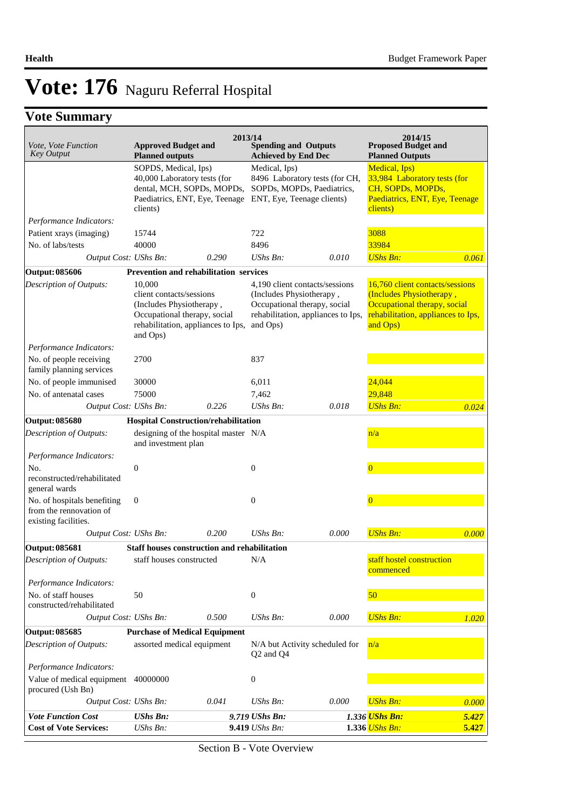## **Vote Summary**

| Vote, Vote Function<br><b>Key Output</b>                                       | <b>Approved Budget and</b><br><b>Planned outputs</b>                                                                                             | 2013/14 | <b>Spending and Outputs</b><br><b>Achieved by End Dec</b>                                                                                    |       | 2014/15<br><b>Proposed Budget and</b><br><b>Planned Outputs</b>                                                                               |       |
|--------------------------------------------------------------------------------|--------------------------------------------------------------------------------------------------------------------------------------------------|---------|----------------------------------------------------------------------------------------------------------------------------------------------|-------|-----------------------------------------------------------------------------------------------------------------------------------------------|-------|
|                                                                                | SOPDS, Medical, Ips)<br>40,000 Laboratory tests (for<br>dental, MCH, SOPDs, MOPDs,<br>Paediatrics, ENT, Eye, Teenage<br>clients)                 |         | Medical, Ips)<br>8496 Laboratory tests (for CH,<br>SOPDs, MOPDs, Paediatrics,<br>ENT, Eye, Teenage clients)                                  |       | Medical, Ips)<br>33,984 Laboratory tests (for<br>CH, SOPDs, MOPDs,<br>Paediatrics, ENT, Eye, Teenage<br>clients)                              |       |
| Performance Indicators:                                                        |                                                                                                                                                  |         |                                                                                                                                              |       |                                                                                                                                               |       |
| Patient xrays (imaging)                                                        | 15744                                                                                                                                            |         | 722                                                                                                                                          |       | 3088                                                                                                                                          |       |
| No. of labs/tests                                                              | 40000                                                                                                                                            |         | 8496                                                                                                                                         |       | 33984                                                                                                                                         |       |
| Output Cost: UShs Bn:                                                          |                                                                                                                                                  | 0.290   | $UShs Bn$ :                                                                                                                                  | 0.010 | <b>UShs Bn:</b>                                                                                                                               | 0.061 |
| Output: 085606                                                                 | Prevention and rehabilitation services                                                                                                           |         |                                                                                                                                              |       |                                                                                                                                               |       |
| <b>Description of Outputs:</b>                                                 | 10,000<br>client contacts/sessions<br>(Includes Physiotherapy,<br>Occupational therapy, social<br>rehabilitation, appliances to Ips,<br>and Ops) |         | 4,190 client contacts/sessions<br>(Includes Physiotherapy,<br>Occupational therapy, social<br>rehabilitation, appliances to Ips,<br>and Ops) |       | 16,760 client contacts/sessions<br>(Includes Physiotherapy,<br>Occupational therapy, social<br>rehabilitation, appliances to Ips,<br>and Ops) |       |
| Performance Indicators:                                                        |                                                                                                                                                  |         |                                                                                                                                              |       |                                                                                                                                               |       |
| No. of people receiving<br>family planning services                            | 2700                                                                                                                                             |         | 837                                                                                                                                          |       |                                                                                                                                               |       |
| No. of people immunised                                                        | 30000                                                                                                                                            |         | 6,011                                                                                                                                        |       | 24,044                                                                                                                                        |       |
| No. of antenatal cases                                                         | 75000                                                                                                                                            |         | 7,462                                                                                                                                        |       | 29.848                                                                                                                                        |       |
| Output Cost: UShs Bn:                                                          |                                                                                                                                                  | 0.226   | UShs Bn:                                                                                                                                     | 0.018 | <b>UShs Bn:</b>                                                                                                                               | 0.024 |
| Output: 085680                                                                 | Hospital Construction/rehabilitation                                                                                                             |         |                                                                                                                                              |       |                                                                                                                                               |       |
| Description of Outputs:                                                        | designing of the hospital master N/A<br>and investment plan                                                                                      |         |                                                                                                                                              |       | n/a                                                                                                                                           |       |
| Performance Indicators:                                                        |                                                                                                                                                  |         |                                                                                                                                              |       |                                                                                                                                               |       |
| No.<br>reconstructed/rehabilitated<br>general wards                            | $\boldsymbol{0}$                                                                                                                                 |         | $\boldsymbol{0}$                                                                                                                             |       | $\overline{0}$                                                                                                                                |       |
| No. of hospitals benefiting<br>from the rennovation of<br>existing facilities. | $\boldsymbol{0}$                                                                                                                                 |         | $\boldsymbol{0}$                                                                                                                             |       | $\Omega$                                                                                                                                      |       |
| Output Cost: UShs Bn:                                                          |                                                                                                                                                  | 0.200   | UShs Bn:                                                                                                                                     | 0.000 | <b>UShs Bn:</b>                                                                                                                               | 0.000 |
| Output: 085681                                                                 | Staff houses construction and rehabilitation                                                                                                     |         |                                                                                                                                              |       |                                                                                                                                               |       |
| Description of Outputs:                                                        | staff houses constructed                                                                                                                         |         | N/A                                                                                                                                          |       | staff hostel construction<br>commenced                                                                                                        |       |
| Performance Indicators:<br>No. of staff houses                                 | 50                                                                                                                                               |         | $\boldsymbol{0}$                                                                                                                             |       | 50                                                                                                                                            |       |
| constructed/rehabilitated<br>Output Cost: UShs Bn:                             |                                                                                                                                                  | 0.500   | UShs Bn:                                                                                                                                     | 0.000 | <b>UShs Bn:</b>                                                                                                                               | 1.020 |
|                                                                                |                                                                                                                                                  |         |                                                                                                                                              |       |                                                                                                                                               |       |
| Output: 085685<br><b>Description of Outputs:</b>                               | <b>Purchase of Medical Equipment</b><br>assorted medical equipment                                                                               |         | N/A but Activity scheduled for                                                                                                               |       | n/a                                                                                                                                           |       |
|                                                                                |                                                                                                                                                  |         | Q2 and Q4                                                                                                                                    |       |                                                                                                                                               |       |
| Performance Indicators:<br>Value of medical equipment                          | 40000000                                                                                                                                         |         | $\boldsymbol{0}$                                                                                                                             |       |                                                                                                                                               |       |
| procured (Ush Bn)                                                              |                                                                                                                                                  |         |                                                                                                                                              |       |                                                                                                                                               |       |
| Output Cost: UShs Bn:                                                          |                                                                                                                                                  | 0.041   | UShs Bn:                                                                                                                                     | 0.000 | <b>UShs Bn:</b>                                                                                                                               | 0.000 |
| <b>Vote Function Cost</b>                                                      | <b>UShs Bn:</b>                                                                                                                                  |         | 9.719 UShs Bn:                                                                                                                               |       | 1.336 UShs Bn:                                                                                                                                | 5.427 |
| <b>Cost of Vote Services:</b>                                                  | UShs Bn:                                                                                                                                         |         | 9.419 UShs Bn:                                                                                                                               |       | 1.336 UShs Bn:                                                                                                                                | 5.427 |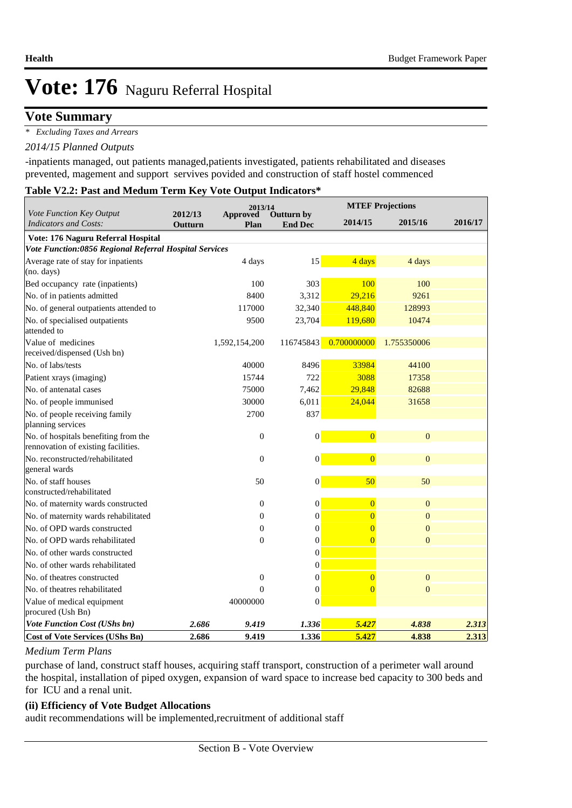### **Vote Summary**

*\* Excluding Taxes and Arrears*

#### *2014/15 Planned Outputs*

-inpatients managed, out patients managed,patients investigated, patients rehabilitated and diseases prevented, magement and support servives povided and construction of staff hostel commenced

#### **Table V2.2: Past and Medum Term Key Vote Output Indicators\***

|                                                                             |                    | 2013/14                 |                                     |                | <b>MTEF Projections</b> |         |  |
|-----------------------------------------------------------------------------|--------------------|-------------------------|-------------------------------------|----------------|-------------------------|---------|--|
| Vote Function Key Output<br><b>Indicators and Costs:</b>                    | 2012/13<br>Outturn | <b>Approved</b><br>Plan | <b>Outturn by</b><br><b>End Dec</b> | 2014/15        | 2015/16                 | 2016/17 |  |
| Vote: 176 Naguru Referral Hospital                                          |                    |                         |                                     |                |                         |         |  |
| Vote Function:0856 Regional Referral Hospital Services                      |                    |                         |                                     |                |                         |         |  |
| Average rate of stay for inpatients                                         |                    | 4 days                  | 15                                  | 4 days         | 4 days                  |         |  |
| (no. days)                                                                  |                    |                         |                                     |                |                         |         |  |
| Bed occupancy rate (inpatients)                                             |                    | 100                     | 303                                 | 100            | 100                     |         |  |
| No. of in patients admitted                                                 |                    | 8400                    | 3,312                               | 29,216         | 9261                    |         |  |
| No. of general outpatients attended to                                      |                    | 117000                  | 32,340                              | 448,840        | 128993                  |         |  |
| No. of specialised outpatients<br>attended to                               |                    | 9500                    | 23,704                              | 119,680        | 10474                   |         |  |
| Value of medicines<br>received/dispensed (Ush bn)                           |                    | 1,592,154,200           | 116745843                           | 0.700000000    | 1.755350006             |         |  |
| No. of labs/tests                                                           |                    | 40000                   | 8496                                | 33984          | 44100                   |         |  |
| Patient xrays (imaging)                                                     |                    | 15744                   | 722                                 | 3088           | 17358                   |         |  |
| No. of antenatal cases                                                      |                    | 75000                   | 7,462                               | 29,848         | 82688                   |         |  |
| No. of people immunised                                                     |                    | 30000                   | 6,011                               | 24,044         | 31658                   |         |  |
| No. of people receiving family<br>planning services                         |                    | 2700                    | 837                                 |                |                         |         |  |
| No. of hospitals benefiting from the<br>rennovation of existing facilities. |                    | $\boldsymbol{0}$        | $\vert 0 \vert$                     | $\overline{0}$ | $\mathbf{0}$            |         |  |
| No. reconstructed/rehabilitated<br>general wards                            |                    | $\boldsymbol{0}$        | $\vert 0 \vert$                     | $\overline{0}$ | $\boldsymbol{0}$        |         |  |
| No. of staff houses                                                         |                    | 50                      | $\overline{0}$                      | 50             | 50                      |         |  |
| constructed/rehabilitated                                                   |                    |                         |                                     |                |                         |         |  |
| No. of maternity wards constructed                                          |                    | $\overline{0}$          | $\boldsymbol{0}$                    | $\overline{0}$ | $\overline{0}$          |         |  |
| No. of maternity wards rehabilitated                                        |                    | $\overline{0}$          | $\boldsymbol{0}$                    | $\overline{0}$ | $\overline{0}$          |         |  |
| No. of OPD wards constructed                                                |                    | $\overline{0}$          | $\boldsymbol{0}$                    | $\overline{0}$ | $\overline{0}$          |         |  |
| No. of OPD wards rehabilitated                                              |                    | $\boldsymbol{0}$        | $\boldsymbol{0}$                    | $\overline{0}$ | $\overline{0}$          |         |  |
| No. of other wards constructed                                              |                    |                         | $\boldsymbol{0}$                    |                |                         |         |  |
| No. of other wards rehabilitated                                            |                    |                         | $\boldsymbol{0}$                    |                |                         |         |  |
| No. of theatres constructed                                                 |                    | $\boldsymbol{0}$        | $\boldsymbol{0}$                    | $\overline{0}$ | $\mathbf{0}$            |         |  |
| No. of theatres rehabilitated                                               |                    | $\overline{0}$          | $\boldsymbol{0}$                    | $\overline{0}$ | $\mathbf{0}$            |         |  |
| Value of medical equipment<br>procured (Ush Bn)                             |                    | 40000000                | $\theta$                            |                |                         |         |  |
| <b>Vote Function Cost (UShs bn)</b>                                         | 2.686              | 9.419                   | 1.336                               | 5.427          | 4.838                   | 2.313   |  |
| <b>Cost of Vote Services (UShs Bn)</b>                                      | 2.686              | 9.419                   | 1.336                               | 5.427          | 4.838                   | 2.313   |  |

#### *Medium Term Plans*

purchase of land, construct staff houses, acquiring staff transport, construction of a perimeter wall around the hospital, installation of piped oxygen, expansion of ward space to increase bed capacity to 300 beds and for ICU and a renal unit.

#### **(ii) Efficiency of Vote Budget Allocations**

audit recommendations will be implemented,recruitment of additional staff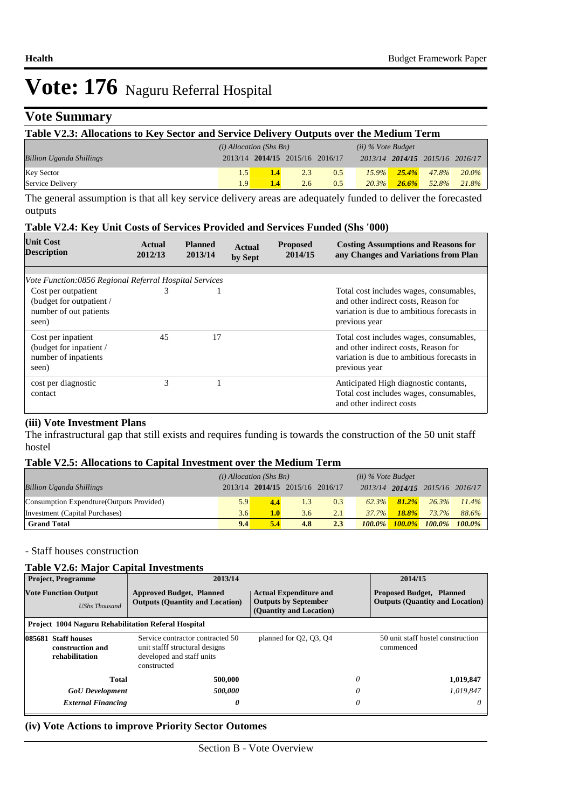### **Vote Summary**

| Table V2.3: Allocations to Key Sector and Service Delivery Outputs over the Medium Term |                           |                                 |     |               |                      |           |                                 |       |
|-----------------------------------------------------------------------------------------|---------------------------|---------------------------------|-----|---------------|----------------------|-----------|---------------------------------|-------|
|                                                                                         | $(i)$ Allocation (Shs Bn) |                                 |     |               | $(ii)$ % Vote Budget |           |                                 |       |
| <b>Billion Uganda Shillings</b>                                                         |                           | 2013/14 2014/15 2015/16 2016/17 |     |               |                      |           | 2013/14 2014/15 2015/16 2016/17 |       |
| <b>Key Sector</b>                                                                       | 1.5                       | 1.4                             | 2.3 | 0.5           | $15.9\%$             | $25.4\%$  | 47.8%                           | 20.0% |
| Service Delivery                                                                        | 1.9 <sup>1</sup>          | 1.4                             | 2.6 | $0.5^{\circ}$ | 20.3%                | $-26.6\%$ | 52.8%                           | 21.8% |

The general assumption is that all key service delivery areas are adequately funded to deliver the forecasted outputs

#### **Table V2.4: Key Unit Costs of Services Provided and Services Funded (Shs '000)**

| <b>Unit Cost</b><br><b>Description</b>                                                                                                       | Actual<br>2012/13 | <b>Planned</b><br>2013/14 | Actual<br>by Sept | <b>Proposed</b><br>2014/15 | <b>Costing Assumptions and Reasons for</b><br>any Changes and Variations from Plan                                                             |
|----------------------------------------------------------------------------------------------------------------------------------------------|-------------------|---------------------------|-------------------|----------------------------|------------------------------------------------------------------------------------------------------------------------------------------------|
|                                                                                                                                              |                   |                           |                   |                            |                                                                                                                                                |
| Vote Function:0856 Regional Referral Hospital Services<br>Cost per outpatient<br>(budget for outpatient /<br>number of out patients<br>seen) | 3                 |                           |                   |                            | Total cost includes wages, consumables,<br>and other indirect costs. Reason for<br>variation is due to ambitious forecasts in<br>previous year |
| Cost per inpatient<br>(budget for inpatient /<br>number of inpatients<br>seen)                                                               | 45                | 17                        |                   |                            | Total cost includes wages, consumables,<br>and other indirect costs, Reason for<br>variation is due to ambitious forecasts in<br>previous year |
| cost per diagnostic<br>contact                                                                                                               | 3                 |                           |                   |                            | Anticipated High diagnostic contants,<br>Total cost includes wages, consumables,<br>and other indirect costs                                   |

#### **(iii) Vote Investment Plans**

The infrastructural gap that still exists and requires funding is towards the construction of the 50 unit staff hostel

#### **Table V2.5: Allocations to Capital Investment over the Medium Term**

|                                           | $(i)$ Allocation (Shs Bn) |     |                         | $(ii)$ % Vote Budget |           |              |                                 |           |
|-------------------------------------------|---------------------------|-----|-------------------------|----------------------|-----------|--------------|---------------------------------|-----------|
| <b>Billion Uganda Shillings</b>           | 2013/14                   |     | 2014/15 2015/16 2016/17 |                      |           |              | 2013/14 2014/15 2015/16 2016/17 |           |
| Consumption Expendture (Outputs Provided) | 5.9                       | 4.4 | 1.3                     | 0.3                  | 62.3%     | $81.2\%$     | 26.3%                           | $11.4\%$  |
| Investment (Capital Purchases)            | 3.6                       | 1.0 | 3.6                     | 2.1                  | $37.7\%$  | <b>18.8%</b> | 73.7%                           | 88.6%     |
| <b>Grand Total</b>                        | 9.4                       | 5.4 | 4.8                     | 2.3                  | $100.0\%$ | $100.0\%$    | $100.0\%$                       | $100.0\%$ |

- Staff houses construction

#### **Table V2.6: Major Capital Investments**

|                                                     | <b>Project, Programme</b>                                                                                                                                                   | 2013/14                                                                   |                                                                                         | 2014/15                                                                   |
|-----------------------------------------------------|-----------------------------------------------------------------------------------------------------------------------------------------------------------------------------|---------------------------------------------------------------------------|-----------------------------------------------------------------------------------------|---------------------------------------------------------------------------|
| <b>Vote Function Output</b><br><b>UShs Thousand</b> |                                                                                                                                                                             | <b>Approved Budget, Planned</b><br><b>Outputs (Quantity and Location)</b> | <b>Actual Expenditure and</b><br><b>Outputs by September</b><br>(Quantity and Location) | <b>Proposed Budget, Planned</b><br><b>Outputs (Quantity and Location)</b> |
|                                                     |                                                                                                                                                                             | <b>Project 1004 Naguru Rehabilitation Referal Hospital</b>                |                                                                                         |                                                                           |
|                                                     | 085681 Staff houses<br>Service contractor contracted 50<br>construction and<br>unit stafff structural designs<br>developed and staff units<br>rehabilitation<br>constructed |                                                                           | planned for Q2, Q3, Q4                                                                  | 50 unit staff hostel construction<br>commenced                            |
|                                                     | <b>Total</b>                                                                                                                                                                | 500,000                                                                   |                                                                                         | 0<br>1,019,847                                                            |
|                                                     | <b>GoU</b> Development                                                                                                                                                      | 500,000                                                                   |                                                                                         | 1,019,847<br>0                                                            |
|                                                     | <b>External Financing</b>                                                                                                                                                   | 0                                                                         |                                                                                         | 0<br>$\theta$                                                             |

#### **(iv) Vote Actions to improve Priority Sector Outomes**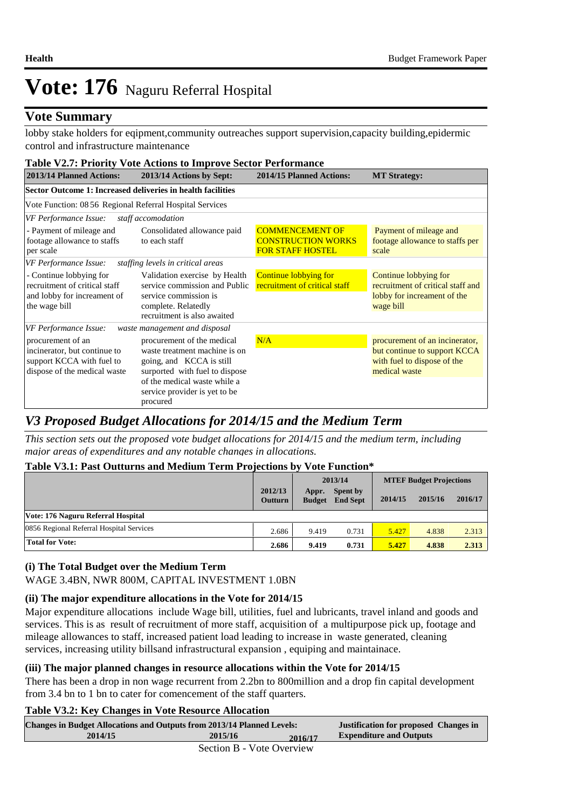### **Vote Summary**

lobby stake holders for eqipment,community outreaches support supervision,capacity building,epidermic control and infrastructure maintenance

| <b>Table V2.7: Priority Vote Actions to Improve Sector Performance</b>                                                                                                                                                     |                                                                                                                                                                                                                                         |                                                                                |                                                                                                                |  |  |  |  |  |  |  |
|----------------------------------------------------------------------------------------------------------------------------------------------------------------------------------------------------------------------------|-----------------------------------------------------------------------------------------------------------------------------------------------------------------------------------------------------------------------------------------|--------------------------------------------------------------------------------|----------------------------------------------------------------------------------------------------------------|--|--|--|--|--|--|--|
| 2013/14 Planned Actions:                                                                                                                                                                                                   | 2013/14 Actions by Sept:                                                                                                                                                                                                                | 2014/15 Planned Actions:                                                       | <b>MT Strategy:</b>                                                                                            |  |  |  |  |  |  |  |
| Sector Outcome 1: Increased deliveries in health facilities                                                                                                                                                                |                                                                                                                                                                                                                                         |                                                                                |                                                                                                                |  |  |  |  |  |  |  |
| Vote Function: 08 56 Regional Referral Hospital Services                                                                                                                                                                   |                                                                                                                                                                                                                                         |                                                                                |                                                                                                                |  |  |  |  |  |  |  |
| VF Performance Issue:                                                                                                                                                                                                      | staff accomodation                                                                                                                                                                                                                      |                                                                                |                                                                                                                |  |  |  |  |  |  |  |
| - Payment of mileage and<br>footage allowance to staffs<br>per scale                                                                                                                                                       | Consolidated allowance paid<br>to each staff                                                                                                                                                                                            | <b>COMMENCEMENT OF</b><br><b>CONSTRUCTION WORKS</b><br><b>FOR STAFF HOSTEL</b> | Payment of mileage and<br>footage allowance to staffs per<br>scale                                             |  |  |  |  |  |  |  |
| VF Performance Issue:                                                                                                                                                                                                      | staffing levels in critical areas                                                                                                                                                                                                       |                                                                                |                                                                                                                |  |  |  |  |  |  |  |
| - Continue lobbying for<br>Validation exercise by Health<br>recruitment of critical staff<br>service commission and Public<br>and lobby for increament of<br>service commission is<br>the wage bill<br>complete. Relatedly |                                                                                                                                                                                                                                         | Continue lobbying for<br>recruitment of critical staff                         | Continue lobbying for<br>recruitment of critical staff and<br>lobby for increament of the<br>wage bill         |  |  |  |  |  |  |  |
|                                                                                                                                                                                                                            | recruitment is also awaited                                                                                                                                                                                                             |                                                                                |                                                                                                                |  |  |  |  |  |  |  |
| VF Performance Issue:<br>procurement of an<br>incinerator, but continue to<br>support KCCA with fuel to<br>dispose of the medical waste                                                                                    | waste management and disposal<br>procurement of the medical<br>waste treatment machine is on<br>going, and KCCA is still<br>surported with fuel to dispose<br>of the medical waste while a<br>service provider is yet to be<br>procured | N/A                                                                            | procurement of an incinerator,<br>but continue to support KCCA<br>with fuel to dispose of the<br>medical waste |  |  |  |  |  |  |  |

### *V3 Proposed Budget Allocations for 2014/15 and the Medium Term*

*This section sets out the proposed vote budget allocations for 2014/15 and the medium term, including major areas of expenditures and any notable changes in allocations.* 

#### **Table V3.1: Past Outturns and Medium Term Projections by Vote Function\***

|                                          |                           | 2013/14                |                             | <b>MTEF Budget Projections</b> |         |         |  |
|------------------------------------------|---------------------------|------------------------|-----------------------------|--------------------------------|---------|---------|--|
|                                          | 2012/13<br><b>Outturn</b> | Appr.<br><b>Budget</b> | Spent by<br><b>End Sept</b> | 2014/15                        | 2015/16 | 2016/17 |  |
| Vote: 176 Naguru Referral Hospital       |                           |                        |                             |                                |         |         |  |
| 0856 Regional Referral Hospital Services | 2.686                     | 9.419                  | 0.731                       | 5.427                          | 4.838   | 2.313   |  |
| <b>Total for Vote:</b>                   | 2.686                     | 9.419                  | 0.731                       | 5.427                          | 4.838   | 2.313   |  |

#### **(i) The Total Budget over the Medium Term**

WAGE 3.4BN, NWR 800M, CAPITAL INVESTMENT 1.0BN

#### **(ii) The major expenditure allocations in the Vote for 2014/15**

Major expenditure allocations include Wage bill, utilities, fuel and lubricants, travel inland and goods and services. This is as result of recruitment of more staff, acquisition of a multipurpose pick up, footage and mileage allowances to staff, increased patient load leading to increase in waste generated, cleaning services, increasing utility billsand infrastructural expansion , equiping and maintainace.

#### **(iii) The major planned changes in resource allocations within the Vote for 2014/15**

There has been a drop in non wage recurrent from 2.2bn to 800million and a drop fin capital development from 3.4 bn to 1 bn to cater for comencement of the staff quarters.

#### **Table V3.2: Key Changes in Vote Resource Allocation**

| <b>Changes in Budget Allocations and Outputs from 2013/14 Planned Levels:</b> | <b>Justification for proposed Changes in</b> |         |                                |  |  |
|-------------------------------------------------------------------------------|----------------------------------------------|---------|--------------------------------|--|--|
| 2014/15                                                                       | 2015/16                                      | 2016/17 | <b>Expenditure and Outputs</b> |  |  |
| $Section R$ - $Note$ Overview                                                 |                                              |         |                                |  |  |

Section B - Vote Overview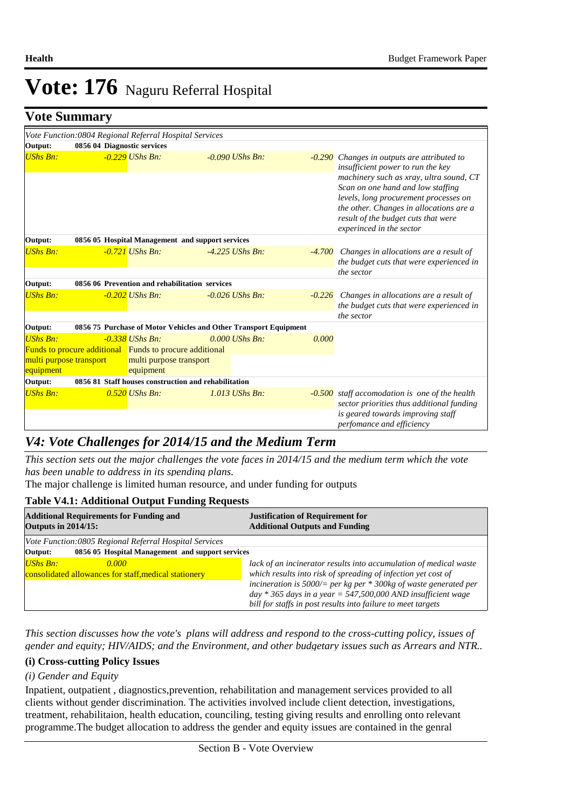**Justification for proposed Changes in** 

# Vote: 176 Naguru Referral Hospital

**Vote Summary**

|                                                         | $\sim$ $\sim$ $\sim$ $\sim$ $\sim$ $\sim$ $\sim$ $\sim$                                |                                                                  |                   |       |                                                                                                                                                                                                                                                                                                                         |
|---------------------------------------------------------|----------------------------------------------------------------------------------------|------------------------------------------------------------------|-------------------|-------|-------------------------------------------------------------------------------------------------------------------------------------------------------------------------------------------------------------------------------------------------------------------------------------------------------------------------|
| Output:                                                 | Vote Function: 0804 Regional Referral Hospital Services<br>0856 04 Diagnostic services |                                                                  |                   |       |                                                                                                                                                                                                                                                                                                                         |
| <b>UShs Bn:</b>                                         |                                                                                        | $-0.229$ UShs Bn:                                                | $-0.090$ UShs Bn: |       | -0.290 Changes in outputs are attributed to<br>insufficient power to run the key<br>machinery such as xray, ultra sound, CT<br>Scan on one hand and low staffing<br>levels, long procurement processes on<br>the other. Changes in allocations are a<br>result of the budget cuts that were<br>experinced in the sector |
| Output:                                                 |                                                                                        | 0856 05 Hospital Management and support services                 |                   |       |                                                                                                                                                                                                                                                                                                                         |
| <b>UShs Bn:</b>                                         |                                                                                        | $-0.721$ UShs Bn:                                                | $-4.225$ UShs Bn: |       | -4.700 Changes in allocations are a result of<br>the budget cuts that were experienced in<br>the sector                                                                                                                                                                                                                 |
| Output:                                                 |                                                                                        | 0856 06 Prevention and rehabilitation services                   |                   |       |                                                                                                                                                                                                                                                                                                                         |
| <b>UShs Bn:</b>                                         |                                                                                        | $-0.202$ UShs Bn:                                                | $-0.026$ UShs Bn: |       | $-0.226$ Changes in allocations are a result of<br>the budget cuts that were experienced in<br>the sector                                                                                                                                                                                                               |
| Output:                                                 |                                                                                        | 0856 75 Purchase of Motor Vehicles and Other Transport Equipment |                   |       |                                                                                                                                                                                                                                                                                                                         |
| <b>UShs Bn:</b><br>multi purpose transport<br>equipment | Funds to procure additional Funds to procure additional                                | $-0.338$ UShs Bn:<br>multi purpose transport<br>equipment        | $0.000$ UShs Bn:  | 0.000 |                                                                                                                                                                                                                                                                                                                         |
| Output:                                                 |                                                                                        | 0856 81 Staff houses construction and rehabilitation             |                   |       |                                                                                                                                                                                                                                                                                                                         |
| <b>UShs Bn:</b>                                         |                                                                                        | $0.520$ UShs Bn:                                                 | $1.013$ UShs Bn:  |       | $-0.500$ staff accomodation is one of the health<br>sector priorities thus additional funding<br>is geared towards improving staff<br>perfomance and efficiency                                                                                                                                                         |

### *V4: Vote Challenges for 2014/15 and the Medium Term*

*This section sets out the major challenges the vote faces in 2014/15 and the medium term which the vote has been unable to address in its spending plans.*

The major challenge is limited human resource, and under funding for outputs

#### **Table V4.1: Additional Output Funding Requests**

| <b>Additional Requirements for Funding and</b><br><b>Outputs in 2014/15:</b> | <b>Justification of Requirement for</b><br><b>Additional Outputs and Funding</b> |  |  |
|------------------------------------------------------------------------------|----------------------------------------------------------------------------------|--|--|
| Vote Function:0805 Regional Referral Hospital Services                       |                                                                                  |  |  |
| 0856 05 Hospital Management and support services<br>Output:                  |                                                                                  |  |  |
| $UShs Bn:$<br>0.000                                                          | lack of an incinerator results into accumulation of medical waste                |  |  |
| consolidated allowances for staff, medical stationery                        | which results into risk of spreading of infection yet cost of                    |  |  |
|                                                                              | incineration is $5000/=$ per kg per $*$ 300kg of waste generated per             |  |  |
|                                                                              | day $*$ 365 days in a year = 547,500,000 AND insufficient wage                   |  |  |
|                                                                              | bill for staffs in post results into failure to meet targets                     |  |  |

*This section discusses how the vote's plans will address and respond to the cross-cutting policy, issues of gender and equity; HIV/AIDS; and the Environment, and other budgetary issues such as Arrears and NTR..* 

#### **(i) Cross-cutting Policy Issues**

#### *(i) Gender and Equity*

Inpatient, outpatient , diagnostics,prevention, rehabilitation and management services provided to all clients without gender discrimination. The activities involved include client detection, investigations, treatment, rehabilitaion, health education, counciling, testing giving results and enrolling onto relevant programme.The budget allocation to address the gender and equity issues are contained in the genral